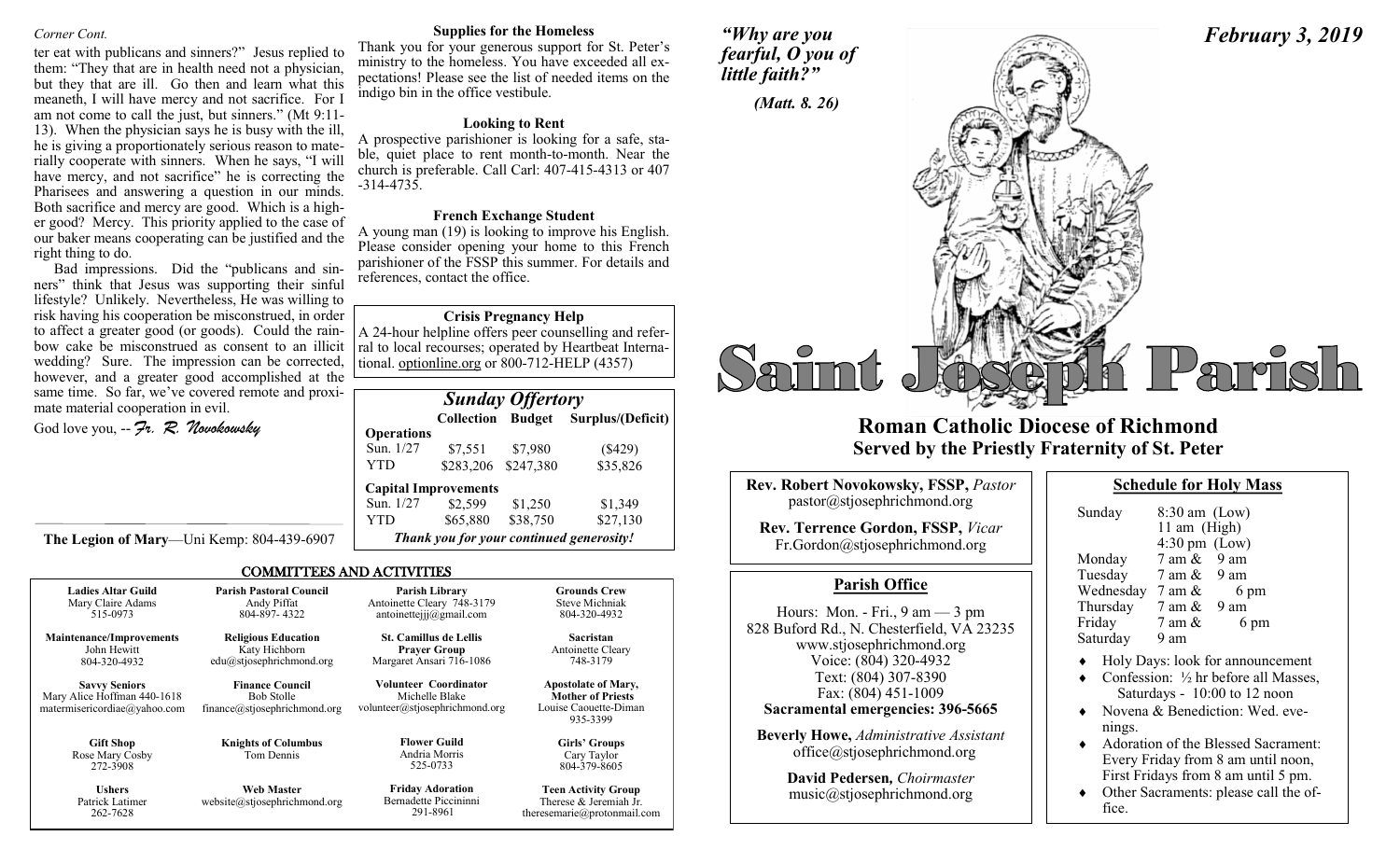#### *Corner Cont.*

ter eat with publicans and sinners?" Jesus replied to them: "They that are in health need not a physician, but they that are ill. Go then and learn what this meaneth, I will have mercy and not sacrifice. For I am not come to call the just, but sinners." (Mt 9:11- 13). When the physician says he is busy with the ill, he is giving a proportionately serious reason to materially cooperate with sinners. When he says, "I will have mercy, and not sacrifice" he is correcting the Pharisees and answering a question in our minds. Both sacrifice and mercy are good. Which is a higher good? Mercy. This priority applied to the case of our baker means cooperating can be justified and the right thing to do.

Bad impressions. Did the "publicans and sinners" think that Jesus was supporting their sinful lifestyle? Unlikely. Nevertheless, He was willing to risk having his cooperation be misconstrued, in order to affect a greater good (or goods). Could the rainbow cake be misconstrued as consent to an illicit wedding? Sure. The impression can be corrected, however, and a greater good accomplished at the same time. So far, we've covered remote and proximate material cooperation in evil.

**The Legion of Mary**—Uni Kemp: 804-439-6907

God love you, -- *Fr. R. Novokowsky* 

262-7628

**Supplies for the Homeless**

Thank you for your generous support for St. Peter's ministry to the homeless. You have exceeded all expectations! Please see the list of needed items on the indigo bin in the office vestibule.

#### **Looking to Rent**

A prospective parishioner is looking for a safe, stable, quiet place to rent month-to-month. Near the church is preferable. Call Carl: 407-415-4313 or 407 -314-4735.

#### **French Exchange Student**

A young man (19) is looking to improve his English. Please consider opening your home to this French parishioner of the FSSP this summer. For details and references, contact the office.

#### **Crisis Pregnancy Help**

A 24-hour helpline offers peer counselling and referral to local recourses; operated by Heartbeat International. optionline.org or 800-712-HELP (4357)

|                   | <b>Sunday Offertory</b>     |           |                                          |  |  |
|-------------------|-----------------------------|-----------|------------------------------------------|--|--|
|                   |                             |           | Collection Budget Surplus/(Deficit)      |  |  |
| <b>Operations</b> |                             |           |                                          |  |  |
| Sun. 1/27         | \$7,551                     | \$7,980   | $(\$429)$                                |  |  |
| YTD               | \$283,206                   | \$247,380 | \$35,826                                 |  |  |
|                   | <b>Capital Improvements</b> |           |                                          |  |  |
| Sun. 1/27         | \$2,599                     | \$1,250   | \$1,349                                  |  |  |
| YTD               | \$65,880                    | \$38,750  | \$27,130                                 |  |  |
|                   |                             |           | Thank you for your continued generosity! |  |  |

theresemarie@protonmail.com

#### COMMITTEES AND ACTIVITIES

| <b>Ladies Altar Guild</b>                                                           | <b>Parish Pastoral Council</b>                                              | Parish Library                                                            | <b>Grounds Crew</b>                                                                         |
|-------------------------------------------------------------------------------------|-----------------------------------------------------------------------------|---------------------------------------------------------------------------|---------------------------------------------------------------------------------------------|
| Mary Claire Adams                                                                   | Andy Piffat                                                                 | Antoinette Cleary 748-3179                                                | Steve Michniak                                                                              |
| 515-0973                                                                            | 804-897-4322                                                                | antoinetteiji@gmail.com                                                   | 804-320-4932                                                                                |
| <b>Maintenance/Improvements</b>                                                     | <b>Religious Education</b>                                                  | <b>St. Camillus de Lellis</b>                                             | <b>Sacristan</b>                                                                            |
| John Hewitt                                                                         | Katy Hichborn                                                               | <b>Prayer Group</b>                                                       | Antoinette Cleary                                                                           |
| 804-320-4932                                                                        | edu@stjosephrichmond.org                                                    | Margaret Ansari 716-1086                                                  | 748-3179                                                                                    |
| <b>Savvy Seniors</b><br>Mary Alice Hoffman 440-1618<br>matermisericordiae@yahoo.com | <b>Finance Council</b><br><b>Bob Stolle</b><br>finance@stjosephrichmond.org | Volunteer Coordinator<br>Michelle Blake<br>volunteer@stjosephrichmond.org | <b>Apostolate of Mary,</b><br><b>Mother of Priests</b><br>Louise Caouette-Diman<br>935-3399 |
| <b>Gift Shop</b><br>Rose Mary Cosby<br>272-3908                                     | <b>Knights of Columbus</b><br>Tom Dennis                                    | <b>Flower Guild</b><br>Andria Morris<br>525-0733                          | Girls' Groups<br>Cary Taylor<br>804-379-8605                                                |
| <b>Ushers</b>                                                                       | <b>Web Master</b>                                                           | <b>Friday Adoration</b>                                                   | <b>Teen Activity Group</b>                                                                  |
| Patrick Latimer                                                                     | website@stjosephrichmond.org                                                | Bernadette Piccininni                                                     | Therese & Jeremiah Jr.                                                                      |

291-8961





# **Roman Catholic Diocese of Richmond Served by the Priestly Fraternity of St. Peter**

| Rev. Robert Novokowsky, FSSP, Pastor<br>pastor@stjosephrichmond.org        |
|----------------------------------------------------------------------------|
| <b>Rev. Terrence Gordon, FSSP, Vicar</b><br>Fr.Gordon@stjosephrichmond.org |
|                                                                            |
| <b>Parish Office</b>                                                       |

Hours: Mon. - Fri., 9 am — 3 pm 828 Buford Rd., N. Chesterfield, VA 23235 www.stjosephrichmond.org Voice: (804) 320-4932 Text: (804) 307-8390 Fax: (804) 451-1009 **Sacramental emergencies: 396-5665 Beverly Howe,** *Administrative Assistant*

office@stjosephrichmond.org

**David Pedersen***, Choirmaster* music@stjosephrichmond.org

| <b>Schedule for Holy Mass</b> |
|-------------------------------|
|-------------------------------|

| Sunday    | $8:30$ am (Low)<br>11 am (High) |                |
|-----------|---------------------------------|----------------|
|           | $4:30 \text{ pm}$ (Low)         |                |
| Monday    | $7 \text{ am } \& 9 \text{ am}$ |                |
| Tuesday   | 7 am &                          | 9 am           |
| Wednesday | 7 am &                          | 6 pm           |
| Thursday  | 7 am &                          | $9 \text{ am}$ |
| Friday    | 7 am &                          | 6 pm           |
| Saturday  | 9 am                            |                |

- Holy Days: look for announcement
- Confession: ½ hr before all Masses, Saturdays - 10:00 to 12 noon
- Novena & Benediction: Wed. evenings.
- ◆ Adoration of the Blessed Sacrament: Every Friday from 8 am until noon, First Fridays from 8 am until 5 pm.
- Other Sacraments: please call the office.

## *February 3, 2019*